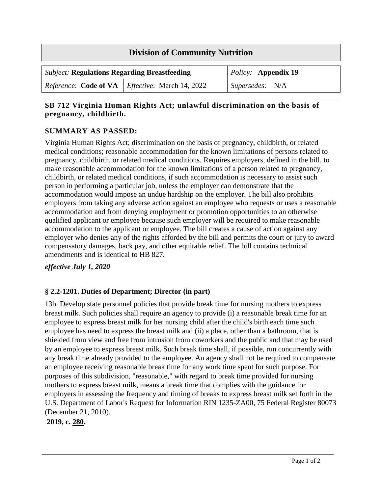| <b>Division of Community Nutrition</b>              |                                                                 |                            |  |
|-----------------------------------------------------|-----------------------------------------------------------------|----------------------------|--|
| <b>Subject: Regulations Regarding Breastfeeding</b> |                                                                 | <i>Policy:</i> Appendix 19 |  |
|                                                     | <i>Reference:</i> Code of VA   <i>Effective:</i> March 14, 2022 | Supersedes: N/A            |  |

### **SB 712 Virginia Human Rights Act; unlawful discrimination on the basis of pregnancy, childbirth.**

## **SUMMARY AS PASSED:**

Virginia Human Rights Act; discrimination on the basis of pregnancy, childbirth, or related medical conditions; reasonable accommodation for the known limitations of persons related to pregnancy, childbirth, or related medical conditions. Requires employers, defined in the bill, to make reasonable accommodation for the known limitations of a person related to pregnancy, childbirth, or related medical conditions, if such accommodation is necessary to assist such person in performing a particular job, unless the employer can demonstrate that the accommodation would impose an undue hardship on the employer. The bill also prohibits employers from taking any adverse action against an employee who requests or uses a reasonable accommodation and from denying employment or promotion opportunities to an otherwise qualified applicant or employee because such employer will be required to make reasonable accommodation to the applicant or employee. The bill creates a cause of action against any employer who denies any of the rights afforded by the bill and permits the court or jury to award compensatory damages, back pay, and other equitable relief. The bill contains technical amendments and is identical to [HB 827.](https://lis.virginia.gov/cgi-bin/legp604.exe?201+sum+HB827)

*effective July 1, 2020*

# **§ 2.2-1201. Duties of Department; Director (in part)**

13b. Develop state personnel policies that provide break time for nursing mothers to express breast milk. Such policies shall require an agency to provide (i) a reasonable break time for an employee to express breast milk for her nursing child after the child's birth each time such employee has need to express the breast milk and (ii) a place, other than a bathroom, that is shielded from view and free from intrusion from coworkers and the public and that may be used by an employee to express breast milk. Such break time shall, if possible, run concurrently with any break time already provided to the employee. An agency shall not be required to compensate an employee receiving reasonable break time for any work time spent for such purpose. For purposes of this subdivision, "reasonable," with regard to break time provided for nursing mothers to express breast milk, means a break time that complies with the guidance for employers in assessing the frequency and timing of breaks to express breast milk set forth in the U.S. Department of Labor's Request for Information RIN 1235-ZA00, 75 Federal Register 80073 (December 21, 2010).

**2019, c. [280.](http://lis.virginia.gov/cgi-bin/legp604.exe?191+ful+CHAP0280)**